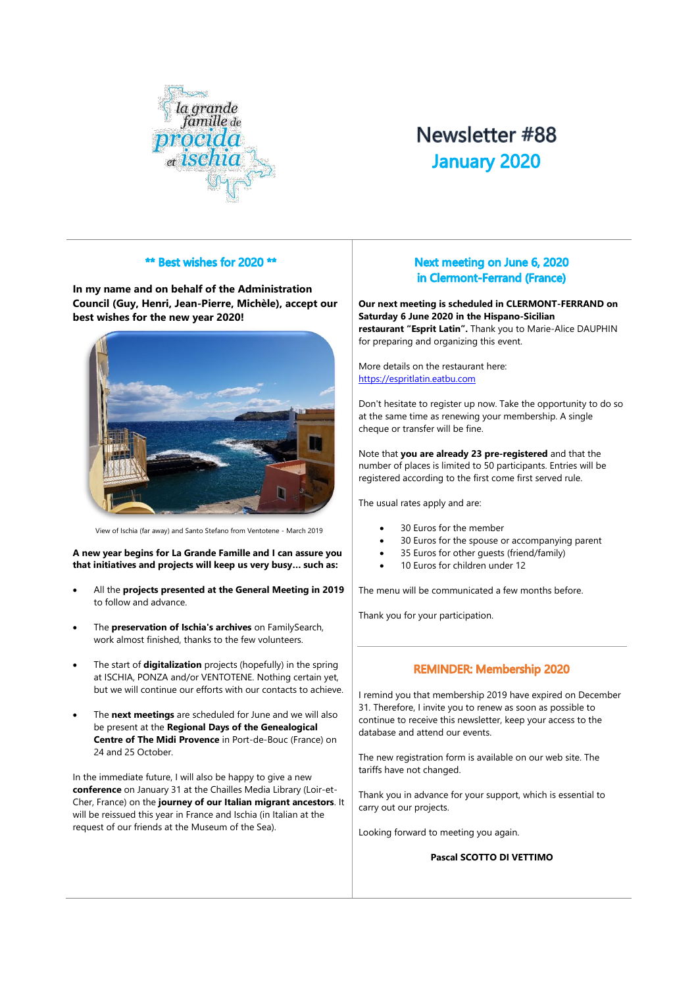

# Newsletter #88 **January 2020**

# \*\* Best wishes for 2020 \*\*

**In my name and on behalf of the Administration Council (Guy, Henri, Jean-Pierre, Michèle), accept our best wishes for the new year 2020!**



View of Ischia (far away) and Santo Stefano from Ventotene - March 2019

**A new year begins for La Grande Famille and I can assure you that initiatives and projects will keep us very busy… such as:** 

- All the **projects presented at the General Meeting in 2019** to follow and advance.
- The **preservation of Ischia's archives** on FamilySearch, work almost finished, thanks to the few volunteers.
- The start of **digitalization** projects (hopefully) in the spring at ISCHIA, PONZA and/or VENTOTENE. Nothing certain yet, but we will continue our efforts with our contacts to achieve.
- The **next meetings** are scheduled for June and we will also be present at the **Regional Days of the Genealogical Centre of The Midi Provence** in Port-de-Bouc (France) on 24 and 25 October

In the immediate future, I will also be happy to give a new **conference** on January 31 at the Chailles Media Library (Loir-et-Cher, France) on the **journey of our Italian migrant ancestors**. It will be reissued this year in France and Ischia (in Italian at the request of our friends at the Museum of the Sea).

# Next meeting on June 6, 2020 in Clermont-Ferrand (France)

**Our next meeting is scheduled in CLERMONT-FERRAND on Saturday 6 June 2020 in the Hispano-Sicilian restaurant "Esprit Latin".** Thank you to Marie-Alice DAUPHIN for preparing and organizing this event.

More details on the restaurant here: [https://espritlatin.eatbu.com](https://espritlatin.eatbu.com/)

Don't hesitate to register up now. Take the opportunity to do so at the same time as renewing your membership. A single cheque or transfer will be fine.

Note that **you are already 23 pre-registered** and that the number of places is limited to 50 participants. Entries will be registered according to the first come first served rule.

The usual rates apply and are:

- 30 Euros for the member
- 30 Euros for the spouse or accompanying parent
- 35 Euros for other guests (friend/family)
- 10 Euros for children under 12

The menu will be communicated a few months before.

Thank you for your participation.

### **REMINDER: Membership 2020**

I remind you that membership 2019 have expired on December 31. Therefore, I invite you to renew as soon as possible to continue to receive this newsletter, keep your access to the database and attend our events.

The new registration form is available on our web site. The tariffs have not changed.

Thank you in advance for your support, which is essential to carry out our projects.

Looking forward to meeting you again.

#### **Pascal SCOTTO DI VETTIMO**